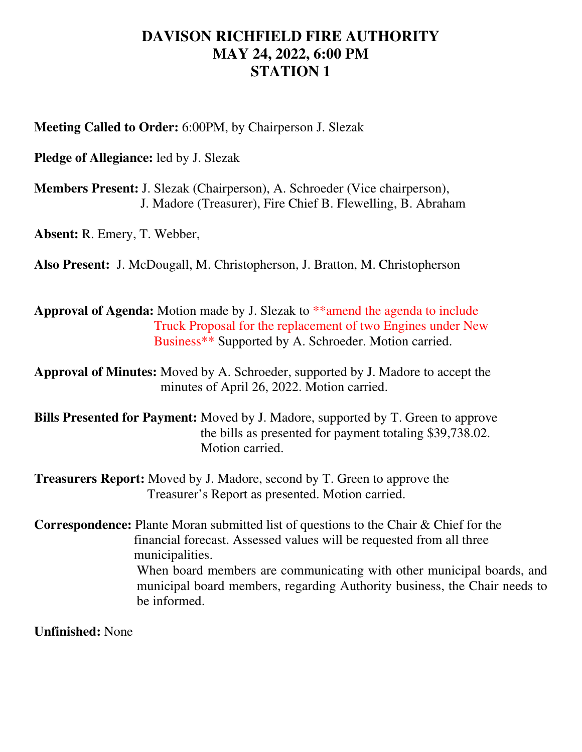## **DAVISON RICHFIELD FIRE AUTHORITY MAY 24, 2022, 6:00 PM STATION 1**

**Meeting Called to Order:** 6:00PM, by Chairperson J. Slezak

**Pledge of Allegiance:** led by J. Slezak

**Members Present:** J. Slezak (Chairperson), A. Schroeder (Vice chairperson), J. Madore (Treasurer), Fire Chief B. Flewelling, B. Abraham

**Absent:** R. Emery, T. Webber,

**Also Present:** J. McDougall, M. Christopherson, J. Bratton, M. Christopherson

**Approval of Agenda:** Motion made by J. Slezak to \*\*amend the agenda to include Truck Proposal for the replacement of two Engines under New Business\*\* Supported by A. Schroeder. Motion carried.

**Approval of Minutes:** Moved by A. Schroeder, supported by J. Madore to accept the minutes of April 26, 2022. Motion carried.

**Bills Presented for Payment:** Moved by J. Madore, supported by T. Green to approve the bills as presented for payment totaling \$39,738.02. Motion carried.

**Treasurers Report:** Moved by J. Madore, second by T. Green to approve the Treasurer's Report as presented. Motion carried.

**Correspondence:** Plante Moran submitted list of questions to the Chair & Chief for the financial forecast. Assessed values will be requested from all three municipalities. When board members are communicating with other municipal boards, and municipal board members, regarding Authority business, the Chair needs to be informed.

**Unfinished:** None